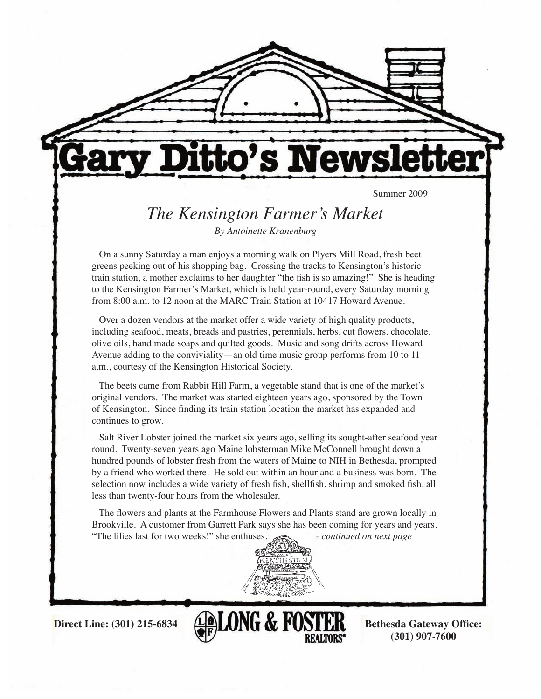

# tto's Newsl

Summer 2009

# *The Kensington Farmer's Market*

*By Antoinette Kranenburg*

 On a sunny Saturday a man enjoys a morning walk on Plyers Mill Road, fresh beet greens peeking out of his shopping bag. Crossing the tracks to Kensington's historic train station, a mother exclaims to her daughter "the fish is so amazing!" She is heading to the Kensington Farmer's Market, which is held year-round, every Saturday morning from 8:00 a.m. to 12 noon at the MARC Train Station at 10417 Howard Avenue.

 Over a dozen vendors at the market offer a wide variety of high quality products, including seafood, meats, breads and pastries, perennials, herbs, cut flowers, chocolate, olive oils, hand made soaps and quilted goods. Music and song drifts across Howard Avenue adding to the conviviality—an old time music group performs from 10 to 11 a.m., courtesy of the Kensington Historical Society.

 The beets came from Rabbit Hill Farm, a vegetable stand that is one of the market's original vendors. The market was started eighteen years ago, sponsored by the Town of Kensington. Since finding its train station location the market has expanded and continues to grow.

 Salt River Lobster joined the market six years ago, selling its sought-after seafood year round. Twenty-seven years ago Maine lobsterman Mike McConnell brought down a hundred pounds of lobster fresh from the waters of Maine to NIH in Bethesda, prompted by a friend who worked there. He sold out within an hour and a business was born. The selection now includes a wide variety of fresh fish, shellfish, shrimp and smoked fish, all less than twenty-four hours from the wholesaler.

 The flowers and plants at the Farmhouse Flowers and Plants stand are grown locally in Brookville. A customer from Garrett Park says she has been coming for years and years. The lilies last for two weeks!" she enthuses.  $\mathcal{L}$  *- continued on next page* 



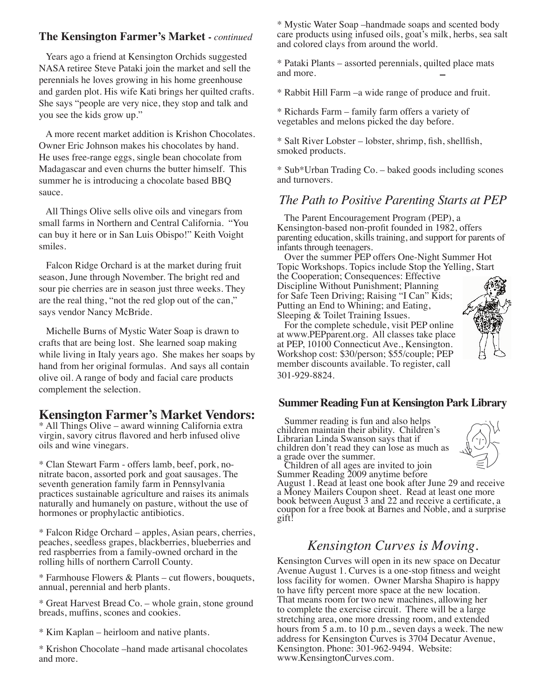#### **The Kensington Farmer's Market -** *continued*

 Years ago a friend at Kensington Orchids suggested NASA retiree Steve Pataki join the market and sell the perennials he loves growing in his home greenhouse and garden plot. His wife Kati brings her quilted crafts. She says "people are very nice, they stop and talk and you see the kids grow up."

 A more recent market addition is Krishon Chocolates. Owner Eric Johnson makes his chocolates by hand. He uses free-range eggs, single bean chocolate from Madagascar and even churns the butter himself. This summer he is introducing a chocolate based BBQ sauce.

 All Things Olive sells olive oils and vinegars from small farms in Northern and Central California. "You can buy it here or in San Luis Obispo!" Keith Voight smiles.

 Falcon Ridge Orchard is at the market during fruit season, June through November. The bright red and sour pie cherries are in season just three weeks. They are the real thing, "not the red glop out of the can," says vendor Nancy McBride.

 Michelle Burns of Mystic Water Soap is drawn to crafts that are being lost. She learned soap making while living in Italy years ago. She makes her soaps by hand from her original formulas. And says all contain olive oil. A range of body and facial care products complement the selection.

#### **Kensington Farmer's Market Vendors:**

\* All Things Olive – award winning California extra virgin, savory citrus flavored and herb infused olive oils and wine vinegars.

\* Clan Stewart Farm - offers lamb, beef, pork, nonitrate bacon, assorted pork and goat sausages. The seventh generation family farm in Pennsylvania practices sustainable agriculture and raises its animals naturally and humanely on pasture, without the use of hormones or prophylactic antibiotics.

\* Falcon Ridge Orchard – apples, Asian pears, cherries, peaches, seedless grapes, blackberries, blueberries and red raspberries from a family-owned orchard in the rolling hills of northern Carroll County.

\* Farmhouse Flowers & Plants – cut flowers, bouquets, annual, perennial and herb plants.

\* Great Harvest Bread Co. – whole grain, stone ground breads, muffins, scones and cookies.

\* Kim Kaplan – heirloom and native plants.

\* Krishon Chocolate –hand made artisanal chocolates and more.

\* Mystic Water Soap –handmade soaps and scented body care products using infused oils, goat's milk, herbs, sea salt and colored clays from around the world.

\* Pataki Plants – assorted perennials, quilted place mats and more.

\* Rabbit Hill Farm –a wide range of produce and fruit.

\* Richards Farm – family farm offers a variety of vegetables and melons picked the day before.

\* Salt River Lobster – lobster, shrimp, fish, shellfish, smoked products.

\* Sub\*Urban Trading Co. – baked goods including scones and turnovers.

#### *The Path to Positive Parenting Starts at PEP*

 The Parent Encouragement Program (PEP), a Kensington-based non-profit founded in 1982, offers parenting education, skills training, and support for parents of infants through teenagers.

 Over the summer PEP offers One-Night Summer Hot Topic Workshops. Topics include Stop the Yelling, Start the Cooperation; Consequences: Effective Discipline Without Punishment; Planning for Safe Teen Driving; Raising "I Can" Kids; Putting an End to Whining; and Eating, Sleeping & Toilet Training Issues.

 For the complete schedule, visit PEP online at www.PEPparent.org. All classes take place at PEP, 10100 Connecticut Ave., Kensington. Workshop cost: \$30/person; \$55/couple; PEP member discounts available. To register, call 301-929-8824.

#### **Summer Reading Fun at Kensington Park Library**

 Summer reading is fun and also helps children maintain their ability. Children's Librarian Linda Swanson says that if children don't read they can lose as much as a grade over the summer.

 Children of all ages are invited to join Summer Reading 2009 anytime before

August 1. Read at least one book after June 29 and receive a Money Mailers Coupon sheet. Read at least one more book between August 3 and 22 and receive a certificate, a coupon for a free book at Barnes and Noble, and a surprise gift!

### *Kensington Curves is Moving.*

Kensington Curves will open in its new space on Decatur Avenue August 1. Curves is a one-stop fitness and weight loss facility for women. Owner Marsha Shapiro is happy to have fifty percent more space at the new location. That means room for two new machines, allowing her to complete the exercise circuit. There will be a large stretching area, one more dressing room, and extended hours from 5 a.m. to 10 p.m., seven days a week. The new address for Kensington Curves is 3704 Decatur Avenue, Kensington. Phone: 301-962-9494. Website: www.KensingtonCurves.com.

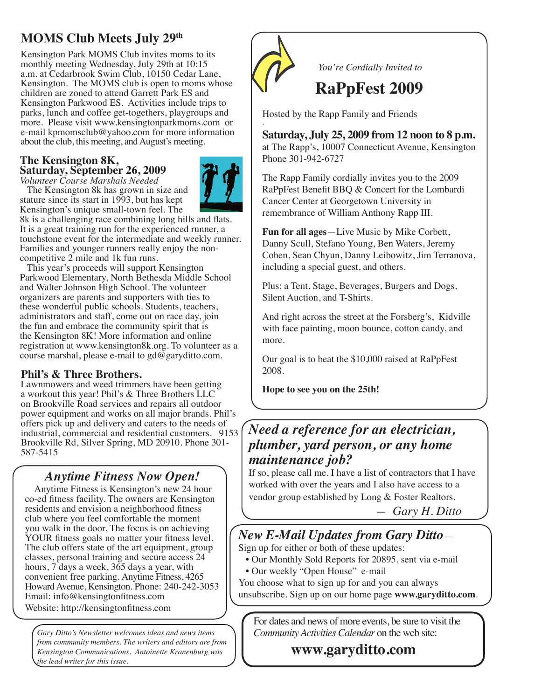# **MOMS Club Meets July 29th**

Kensington Park MOMS Club invites moms to its monthly meeting Wednesday, July 29th at 10:15 a.m. at Cedarbrook Swim Club, 10150 Cedar Lane, Kensington. The MOMS club is open to moms whose children are zoned to attend Garrett Park ES and Kensington Parkwood ES. Activities include trips to parks, lunch and coffee get-togethers, playgroups and more. Please visit www.kensingtonparkmoms.com or e-mail kpmomsclub@yahoo.com for more information about the club, this meeting, and August's meeting.

#### **The Kensington 8K, Saturday, September 26, 2009**

*Volunteer Course Marshals Needed* The Kensington 8k has grown in size and stature since its start in 1993, but has kept Kensington's unique small-town feel. The



8k is a challenging race combining long hills and flats. It is a great training run for the experienced runner, a touchstone event for the intermediate and weekly runner. Families and younger runners really enjoy the noncompetitive 2 mile and 1k fun runs.

 This year's proceeds will support Kensington Parkwood Elementary, North Bethesda Middle School and Walter Johnson High School. The volunteer organizers are parents and supporters with ties to these wonderful public schools. Students, teachers, administrators and staff, come out on race day, join the fun and embrace the community spirit that is the Kensington 8K! More information and online registration at www.kensington8k.org. To volunteer as a course marshal, please e-mail to  $gd@garyditto.com$ .

#### **Phil's & Three Brothers.**

Lawnmowers and weed trimmers have been getting a workout this year! Phil's & Three Brothers LLC on Brookville Road services and repairs all outdoor power equipment and works on all major brands. Phil's offers pick up and delivery and caters to the needs of industrial, commercial and residential customers. 9153 Brookville Rd, Silver Spring, MD 20910. Phone 301- 587-5415

# *Anytime Fitness Now Open!*

 Anytime Fitness is Kensington's new 24 hour co-ed fitness facility. The owners are Kensington residents and envision a neighborhood fitness club where you feel comfortable the moment you walk in the door. The focus is on achieving YOUR fitness goals no matter your fitness level. The club offers state of the art equipment, group classes, personal training and secure access 24 hours, 7 days a week, 365 days a year, with convenient free parking. Anytime Fitness, 4265 Howard Avenue, Kensington. Phone: 240-242-3053 Email: info@kensingtonfitness.com

Website: http://kensingtonfitness.com

*Gary Ditto's Newsletter welcomes ideas and news items from community members. The writers and editors are from Kensington Communications. Antoinette Kranenburg was the lead writer for this issue.* 



 *You're Cordially Invited to*

# **RaPpFest 2009**

Hosted by the Rapp Family and Friends

, **Saturday, July 25, 2009 from 12 noon to 8 p.m.**

at The Rapp's, 10007 Connecticut Avenue, Kensington Phone 301-942-6727

The Rapp Family cordially invites you to the 2009 RaPpFest Benefit BBQ & Concert for the Lombardi Cancer Center at Georgetown University in remembrance of William Anthony Rapp III.

**Fun for all ages**—Live Music by Mike Corbett, Danny Scull, Stefano Young, Ben Waters, Jeremy Cohen, Sean Chyun, Danny Leibowitz, Jim Terranova, including a special guest, and others.

Plus: a Tent, Stage, Beverages, Burgers and Dogs, Silent Auction, and T-Shirts.

And right across the street at the Forsberg's, Kidville with face painting, moon bounce, cotton candy, and more.

Our goal is to beat the \$10,000 raised at RaPpFest 2008.

**Hope to see you on the 25th!**

# *Need a reference for an electrician, plumber, yard person, or any home maintenance job?*

If so, please call me. I have a list of contractors that I have worked with over the years and I also have access to a vendor group established by Long & Foster Realtors.

 *— Gary H. Ditto*

## *New E-Mail Updates from Gary Ditto*—

Sign up for either or both of these updates:

- Our Monthly Sold Reports for 20895, sent via e-mail • Our weekly "Open House" e-mail
- You choose what to sign up for and you can always
- unsubscribe. Sign up on our home page **www.garyditto.com**.

For dates and news of more events, be sure to visit the *Community Activities Calendar* on the web site:

 **www.garyditto.com**